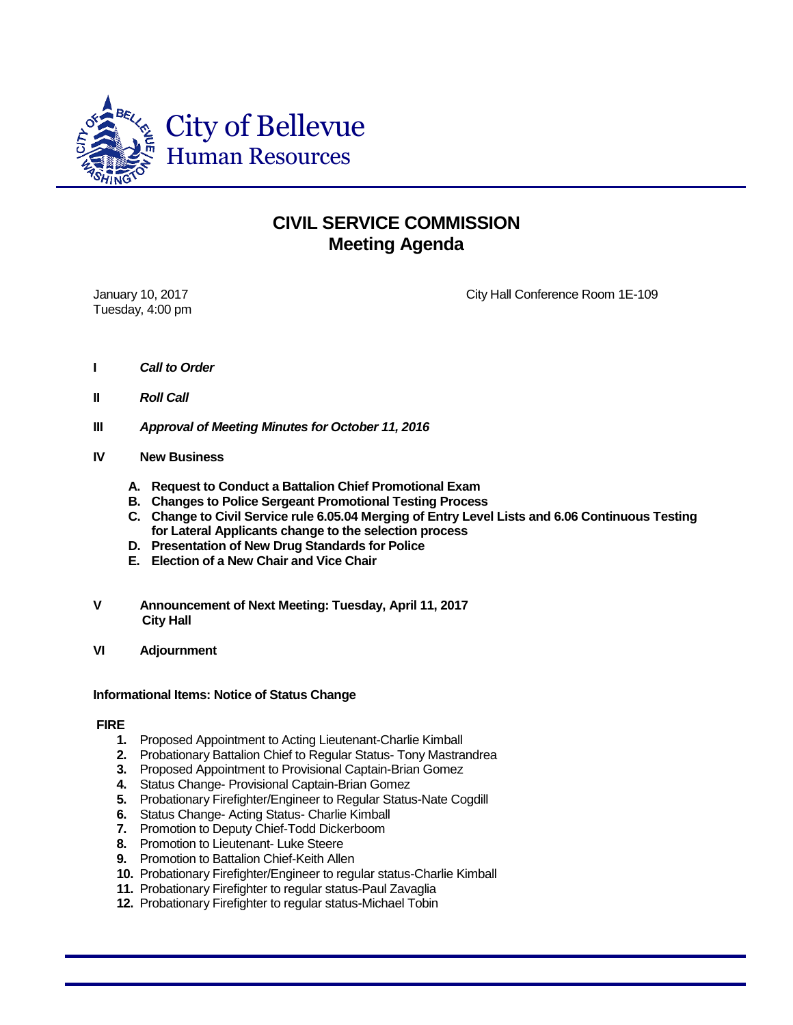

## **CIVIL SERVICE COMMISSION Meeting Agenda**

Tuesday, 4:00 pm

January 10, 2017 **City Hall Conference Room 1E-109** 

- **I** *Call to Order*
- **II** *Roll Call*
- **III** *Approval of Meeting Minutes for October 11, 2016*
- **IV New Business**
	- **A. Request to Conduct a Battalion Chief Promotional Exam**
	- **B. Changes to Police Sergeant Promotional Testing Process**
	- **C. Change to Civil Service rule 6.05.04 Merging of Entry Level Lists and 6.06 Continuous Testing for Lateral Applicants change to the selection process**
	- **D. Presentation of New Drug Standards for Police**
	- **E. Election of a New Chair and Vice Chair**
- **V Announcement of Next Meeting: Tuesday, April 11, 2017 City Hall**
- **VI Adjournment**

## **Informational Items: Notice of Status Change**

## **FIRE**

- **1.** Proposed Appointment to Acting Lieutenant-Charlie Kimball
- **2.** Probationary Battalion Chief to Regular Status- Tony Mastrandrea
- **3.** Proposed Appointment to Provisional Captain-Brian Gomez
- **4.** Status Change- Provisional Captain-Brian Gomez
- **5.** Probationary Firefighter/Engineer to Regular Status-Nate Cogdill
- **6.** Status Change- Acting Status- Charlie Kimball
- **7.** Promotion to Deputy Chief-Todd Dickerboom
- **8.** Promotion to Lieutenant- Luke Steere
- **9.** Promotion to Battalion Chief-Keith Allen
- **10.** Probationary Firefighter/Engineer to regular status-Charlie Kimball
- **11.** Probationary Firefighter to regular status-Paul Zavaglia
- **12.** Probationary Firefighter to regular status-Michael Tobin